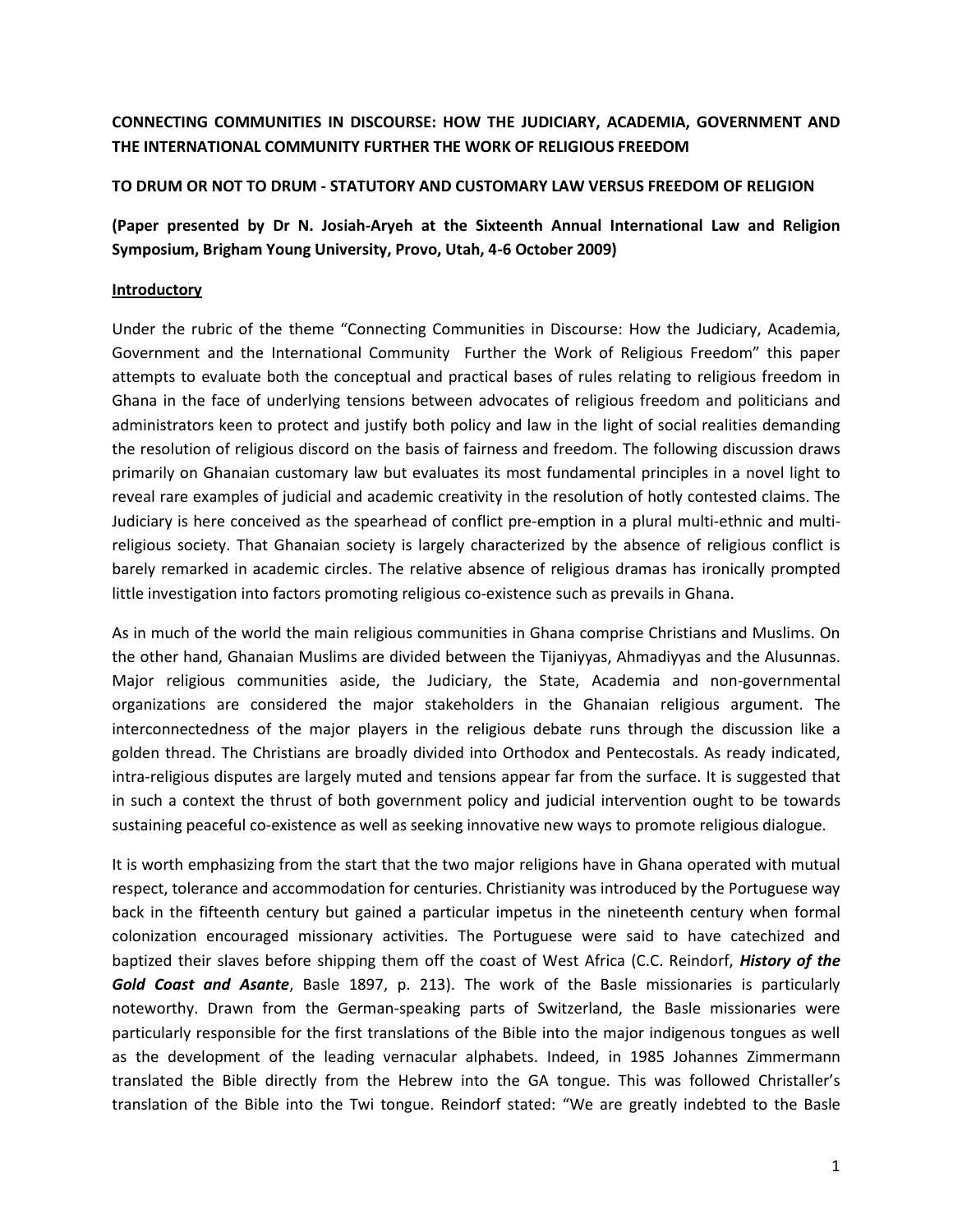# **CONNECTING COMMUNITIES IN DISCOURSE: HOW THE JUDICIARY, ACADEMIA, GOVERNMENT AND THE INTERNATIONAL COMMUNITY FURTHER THE WORK OF RELIGIOUS FREEDOM**

## **TO DRUM OR NOT TO DRUM - STATUTORY AND CUSTOMARY LAW VERSUS FREEDOM OF RELIGION**

**(Paper presented by Dr N. Josiah-Aryeh at the Sixteenth Annual International Law and Religion Symposium, Brigham Young University, Provo, Utah, 4-6 October 2009)**

## **Introductory**

Under the rubric of the theme "Connecting Communities in Discourse: How the Judiciary, Academia, Government and the International Community Further the Work of Religious Freedom" this paper attempts to evaluate both the conceptual and practical bases of rules relating to religious freedom in Ghana in the face of underlying tensions between advocates of religious freedom and politicians and administrators keen to protect and justify both policy and law in the light of social realities demanding the resolution of religious discord on the basis of fairness and freedom. The following discussion draws primarily on Ghanaian customary law but evaluates its most fundamental principles in a novel light to reveal rare examples of judicial and academic creativity in the resolution of hotly contested claims. The Judiciary is here conceived as the spearhead of conflict pre-emption in a plural multi-ethnic and multireligious society. That Ghanaian society is largely characterized by the absence of religious conflict is barely remarked in academic circles. The relative absence of religious dramas has ironically prompted little investigation into factors promoting religious co-existence such as prevails in Ghana.

As in much of the world the main religious communities in Ghana comprise Christians and Muslims. On the other hand, Ghanaian Muslims are divided between the Tijaniyyas, Ahmadiyyas and the Alusunnas. Major religious communities aside, the Judiciary, the State, Academia and non-governmental organizations are considered the major stakeholders in the Ghanaian religious argument. The interconnectedness of the major players in the religious debate runs through the discussion like a golden thread. The Christians are broadly divided into Orthodox and Pentecostals. As ready indicated, intra-religious disputes are largely muted and tensions appear far from the surface. It is suggested that in such a context the thrust of both government policy and judicial intervention ought to be towards sustaining peaceful co-existence as well as seeking innovative new ways to promote religious dialogue.

It is worth emphasizing from the start that the two major religions have in Ghana operated with mutual respect, tolerance and accommodation for centuries. Christianity was introduced by the Portuguese way back in the fifteenth century but gained a particular impetus in the nineteenth century when formal colonization encouraged missionary activities. The Portuguese were said to have catechized and baptized their slaves before shipping them off the coast of West Africa (C.C. Reindorf, *History of the Gold Coast and Asante*, Basle 1897, p. 213). The work of the Basle missionaries is particularly noteworthy. Drawn from the German-speaking parts of Switzerland, the Basle missionaries were particularly responsible for the first translations of the Bible into the major indigenous tongues as well as the development of the leading vernacular alphabets. Indeed, in 1985 Johannes Zimmermann translated the Bible directly from the Hebrew into the GA tongue. This was followed Christaller's translation of the Bible into the Twi tongue. Reindorf stated: "We are greatly indebted to the Basle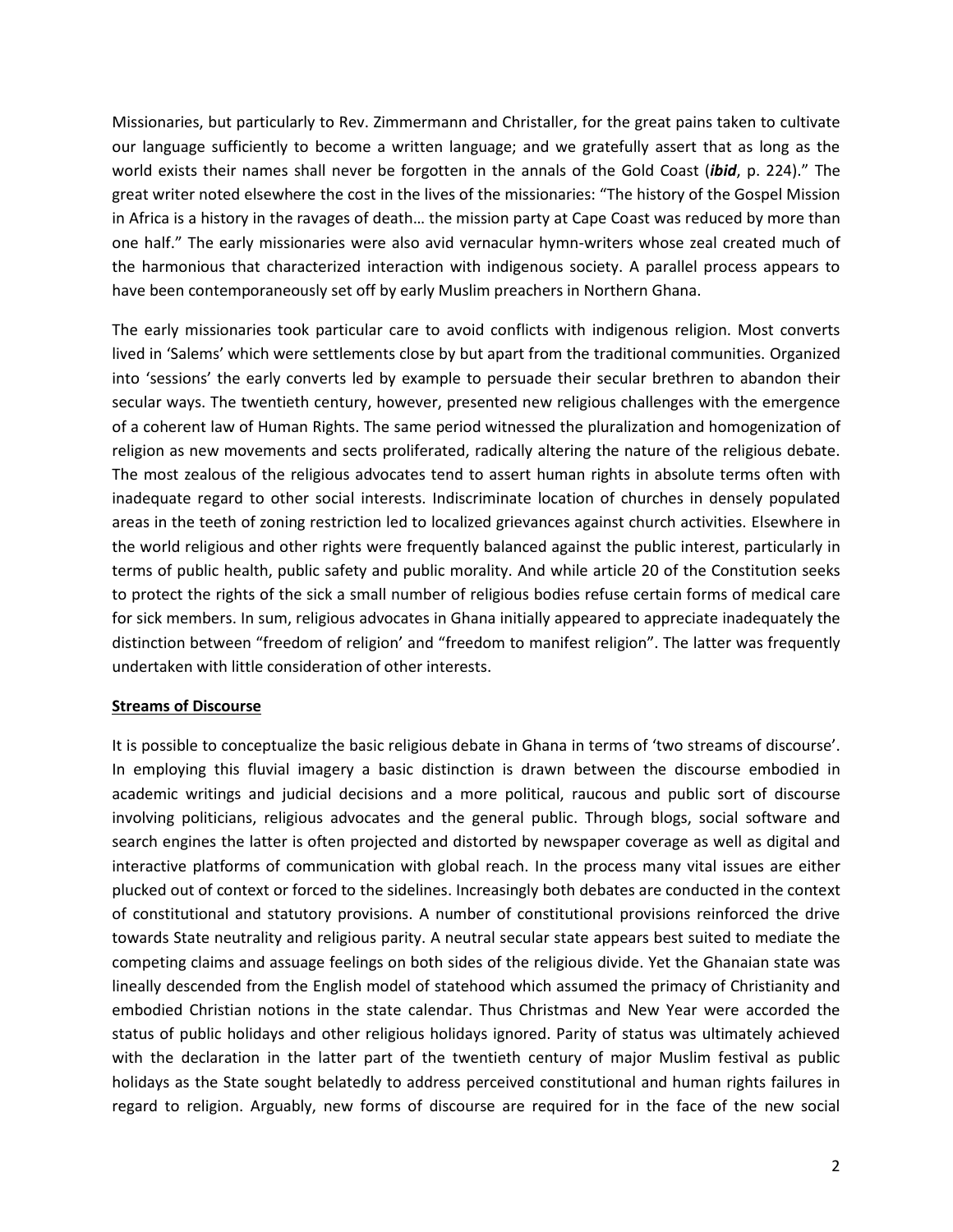Missionaries, but particularly to Rev. Zimmermann and Christaller, for the great pains taken to cultivate our language sufficiently to become a written language; and we gratefully assert that as long as the world exists their names shall never be forgotten in the annals of the Gold Coast (*ibid*, p. 224)." The great writer noted elsewhere the cost in the lives of the missionaries: "The history of the Gospel Mission in Africa is a history in the ravages of death… the mission party at Cape Coast was reduced by more than one half." The early missionaries were also avid vernacular hymn-writers whose zeal created much of the harmonious that characterized interaction with indigenous society. A parallel process appears to have been contemporaneously set off by early Muslim preachers in Northern Ghana.

The early missionaries took particular care to avoid conflicts with indigenous religion. Most converts lived in 'Salems' which were settlements close by but apart from the traditional communities. Organized into 'sessions' the early converts led by example to persuade their secular brethren to abandon their secular ways. The twentieth century, however, presented new religious challenges with the emergence of a coherent law of Human Rights. The same period witnessed the pluralization and homogenization of religion as new movements and sects proliferated, radically altering the nature of the religious debate. The most zealous of the religious advocates tend to assert human rights in absolute terms often with inadequate regard to other social interests. Indiscriminate location of churches in densely populated areas in the teeth of zoning restriction led to localized grievances against church activities. Elsewhere in the world religious and other rights were frequently balanced against the public interest, particularly in terms of public health, public safety and public morality. And while article 20 of the Constitution seeks to protect the rights of the sick a small number of religious bodies refuse certain forms of medical care for sick members. In sum, religious advocates in Ghana initially appeared to appreciate inadequately the distinction between "freedom of religion' and "freedom to manifest religion". The latter was frequently undertaken with little consideration of other interests.

### **Streams of Discourse**

It is possible to conceptualize the basic religious debate in Ghana in terms of 'two streams of discourse'. In employing this fluvial imagery a basic distinction is drawn between the discourse embodied in academic writings and judicial decisions and a more political, raucous and public sort of discourse involving politicians, religious advocates and the general public. Through blogs, social software and search engines the latter is often projected and distorted by newspaper coverage as well as digital and interactive platforms of communication with global reach. In the process many vital issues are either plucked out of context or forced to the sidelines. Increasingly both debates are conducted in the context of constitutional and statutory provisions. A number of constitutional provisions reinforced the drive towards State neutrality and religious parity. A neutral secular state appears best suited to mediate the competing claims and assuage feelings on both sides of the religious divide. Yet the Ghanaian state was lineally descended from the English model of statehood which assumed the primacy of Christianity and embodied Christian notions in the state calendar. Thus Christmas and New Year were accorded the status of public holidays and other religious holidays ignored. Parity of status was ultimately achieved with the declaration in the latter part of the twentieth century of major Muslim festival as public holidays as the State sought belatedly to address perceived constitutional and human rights failures in regard to religion. Arguably, new forms of discourse are required for in the face of the new social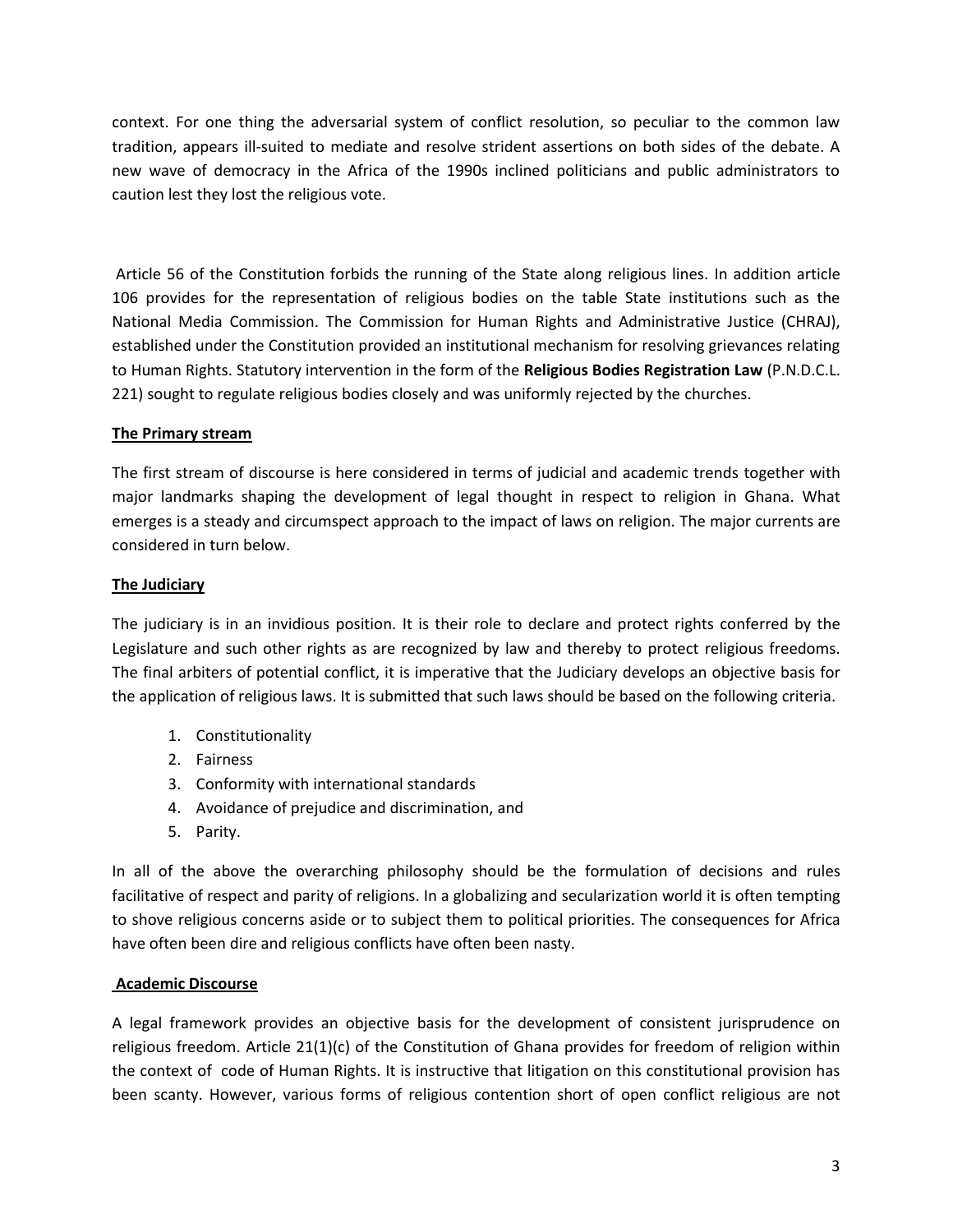context. For one thing the adversarial system of conflict resolution, so peculiar to the common law tradition, appears ill-suited to mediate and resolve strident assertions on both sides of the debate. A new wave of democracy in the Africa of the 1990s inclined politicians and public administrators to caution lest they lost the religious vote.

Article 56 of the Constitution forbids the running of the State along religious lines. In addition article 106 provides for the representation of religious bodies on the table State institutions such as the National Media Commission. The Commission for Human Rights and Administrative Justice (CHRAJ), established under the Constitution provided an institutional mechanism for resolving grievances relating to Human Rights. Statutory intervention in the form of the **Religious Bodies Registration Law** (P.N.D.C.L. 221) sought to regulate religious bodies closely and was uniformly rejected by the churches.

## **The Primary stream**

The first stream of discourse is here considered in terms of judicial and academic trends together with major landmarks shaping the development of legal thought in respect to religion in Ghana. What emerges is a steady and circumspect approach to the impact of laws on religion. The major currents are considered in turn below.

## **The Judiciary**

The judiciary is in an invidious position. It is their role to declare and protect rights conferred by the Legislature and such other rights as are recognized by law and thereby to protect religious freedoms. The final arbiters of potential conflict, it is imperative that the Judiciary develops an objective basis for the application of religious laws. It is submitted that such laws should be based on the following criteria.

- 1. Constitutionality
- 2. Fairness
- 3. Conformity with international standards
- 4. Avoidance of prejudice and discrimination, and
- 5. Parity.

In all of the above the overarching philosophy should be the formulation of decisions and rules facilitative of respect and parity of religions. In a globalizing and secularization world it is often tempting to shove religious concerns aside or to subject them to political priorities. The consequences for Africa have often been dire and religious conflicts have often been nasty.

## **Academic Discourse**

A legal framework provides an objective basis for the development of consistent jurisprudence on religious freedom. Article 21(1)(c) of the Constitution of Ghana provides for freedom of religion within the context of code of Human Rights. It is instructive that litigation on this constitutional provision has been scanty. However, various forms of religious contention short of open conflict religious are not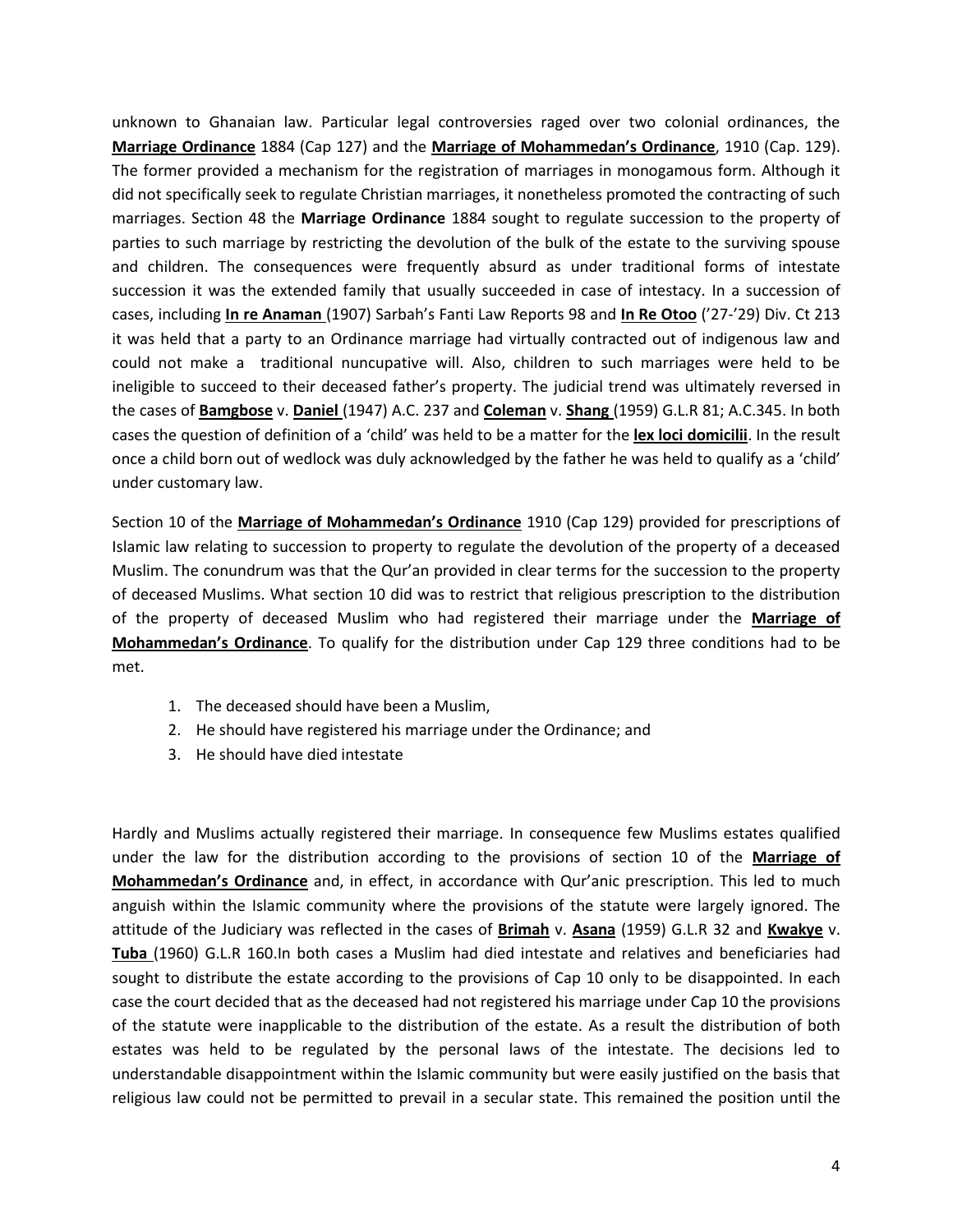unknown to Ghanaian law. Particular legal controversies raged over two colonial ordinances, the **Marriage Ordinance** 1884 (Cap 127) and the **Marriage of Mohammedan's Ordinance**, 1910 (Cap. 129). The former provided a mechanism for the registration of marriages in monogamous form. Although it did not specifically seek to regulate Christian marriages, it nonetheless promoted the contracting of such marriages. Section 48 the **Marriage Ordinance** 1884 sought to regulate succession to the property of parties to such marriage by restricting the devolution of the bulk of the estate to the surviving spouse and children. The consequences were frequently absurd as under traditional forms of intestate succession it was the extended family that usually succeeded in case of intestacy. In a succession of cases, including **In re Anaman** (1907) Sarbah's Fanti Law Reports 98 and **In Re Otoo** ('27-'29) Div. Ct 213 it was held that a party to an Ordinance marriage had virtually contracted out of indigenous law and could not make a traditional nuncupative will. Also, children to such marriages were held to be ineligible to succeed to their deceased father's property. The judicial trend was ultimately reversed in the cases of **Bamgbose** v. **Daniel** (1947) A.C. 237 and **Coleman** v. **Shang** (1959) G.L.R 81; A.C.345. In both cases the question of definition of a 'child' was held to be a matter for the **lex loci domicilii**. In the result once a child born out of wedlock was duly acknowledged by the father he was held to qualify as a 'child' under customary law.

Section 10 of the **Marriage of Mohammedan's Ordinance** 1910 (Cap 129) provided for prescriptions of Islamic law relating to succession to property to regulate the devolution of the property of a deceased Muslim. The conundrum was that the Qur'an provided in clear terms for the succession to the property of deceased Muslims. What section 10 did was to restrict that religious prescription to the distribution of the property of deceased Muslim who had registered their marriage under the **Marriage of Mohammedan's Ordinance**. To qualify for the distribution under Cap 129 three conditions had to be met.

- 1. The deceased should have been a Muslim,
- 2. He should have registered his marriage under the Ordinance; and
- 3. He should have died intestate

Hardly and Muslims actually registered their marriage. In consequence few Muslims estates qualified under the law for the distribution according to the provisions of section 10 of the **Marriage of Mohammedan's Ordinance** and, in effect, in accordance with Qur'anic prescription. This led to much anguish within the Islamic community where the provisions of the statute were largely ignored. The attitude of the Judiciary was reflected in the cases of **Brimah** v. **Asana** (1959) G.L.R 32 and **Kwakye** v. **Tuba** (1960) G.L.R 160.In both cases a Muslim had died intestate and relatives and beneficiaries had sought to distribute the estate according to the provisions of Cap 10 only to be disappointed. In each case the court decided that as the deceased had not registered his marriage under Cap 10 the provisions of the statute were inapplicable to the distribution of the estate. As a result the distribution of both estates was held to be regulated by the personal laws of the intestate. The decisions led to understandable disappointment within the Islamic community but were easily justified on the basis that religious law could not be permitted to prevail in a secular state. This remained the position until the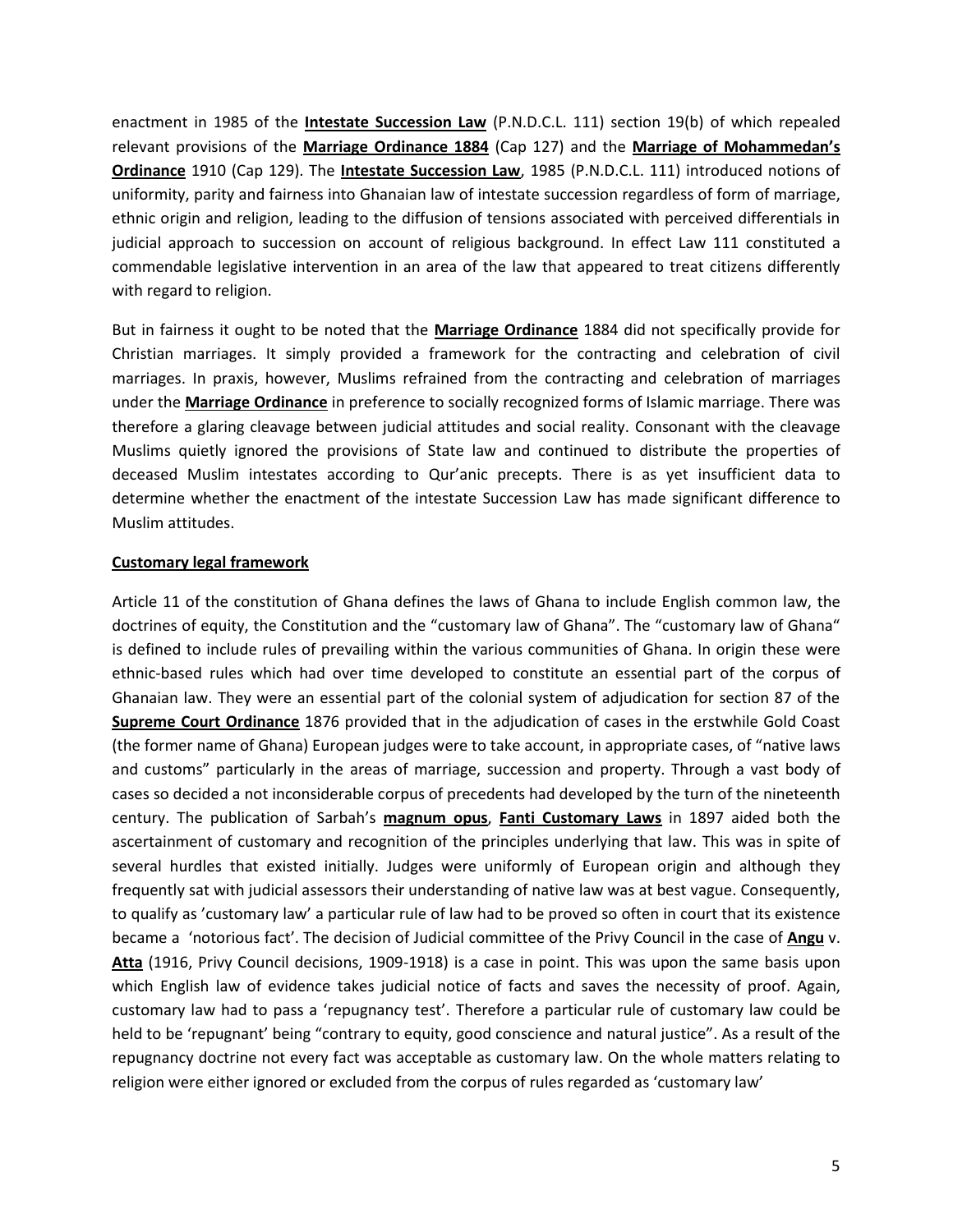enactment in 1985 of the **Intestate Succession Law** (P.N.D.C.L. 111) section 19(b) of which repealed relevant provisions of the **Marriage Ordinance 1884** (Cap 127) and the **Marriage of Mohammedan's Ordinance** 1910 (Cap 129). The **Intestate Succession Law**, 1985 (P.N.D.C.L. 111) introduced notions of uniformity, parity and fairness into Ghanaian law of intestate succession regardless of form of marriage, ethnic origin and religion, leading to the diffusion of tensions associated with perceived differentials in judicial approach to succession on account of religious background. In effect Law 111 constituted a commendable legislative intervention in an area of the law that appeared to treat citizens differently with regard to religion.

But in fairness it ought to be noted that the **Marriage Ordinance** 1884 did not specifically provide for Christian marriages. It simply provided a framework for the contracting and celebration of civil marriages. In praxis, however, Muslims refrained from the contracting and celebration of marriages under the **Marriage Ordinance** in preference to socially recognized forms of Islamic marriage. There was therefore a glaring cleavage between judicial attitudes and social reality. Consonant with the cleavage Muslims quietly ignored the provisions of State law and continued to distribute the properties of deceased Muslim intestates according to Qur'anic precepts. There is as yet insufficient data to determine whether the enactment of the intestate Succession Law has made significant difference to Muslim attitudes.

### **Customary legal framework**

Article 11 of the constitution of Ghana defines the laws of Ghana to include English common law, the doctrines of equity, the Constitution and the "customary law of Ghana". The "customary law of Ghana" is defined to include rules of prevailing within the various communities of Ghana. In origin these were ethnic-based rules which had over time developed to constitute an essential part of the corpus of Ghanaian law. They were an essential part of the colonial system of adjudication for section 87 of the **Supreme Court Ordinance** 1876 provided that in the adjudication of cases in the erstwhile Gold Coast (the former name of Ghana) European judges were to take account, in appropriate cases, of "native laws and customs" particularly in the areas of marriage, succession and property. Through a vast body of cases so decided a not inconsiderable corpus of precedents had developed by the turn of the nineteenth century. The publication of Sarbah's **magnum opus**, **Fanti Customary Laws** in 1897 aided both the ascertainment of customary and recognition of the principles underlying that law. This was in spite of several hurdles that existed initially. Judges were uniformly of European origin and although they frequently sat with judicial assessors their understanding of native law was at best vague. Consequently, to qualify as 'customary law' a particular rule of law had to be proved so often in court that its existence became a 'notorious fact'. The decision of Judicial committee of the Privy Council in the case of **Angu** v. **Atta** (1916, Privy Council decisions, 1909-1918) is a case in point. This was upon the same basis upon which English law of evidence takes judicial notice of facts and saves the necessity of proof. Again, customary law had to pass a 'repugnancy test'. Therefore a particular rule of customary law could be held to be 'repugnant' being "contrary to equity, good conscience and natural justice". As a result of the repugnancy doctrine not every fact was acceptable as customary law. On the whole matters relating to religion were either ignored or excluded from the corpus of rules regarded as 'customary law'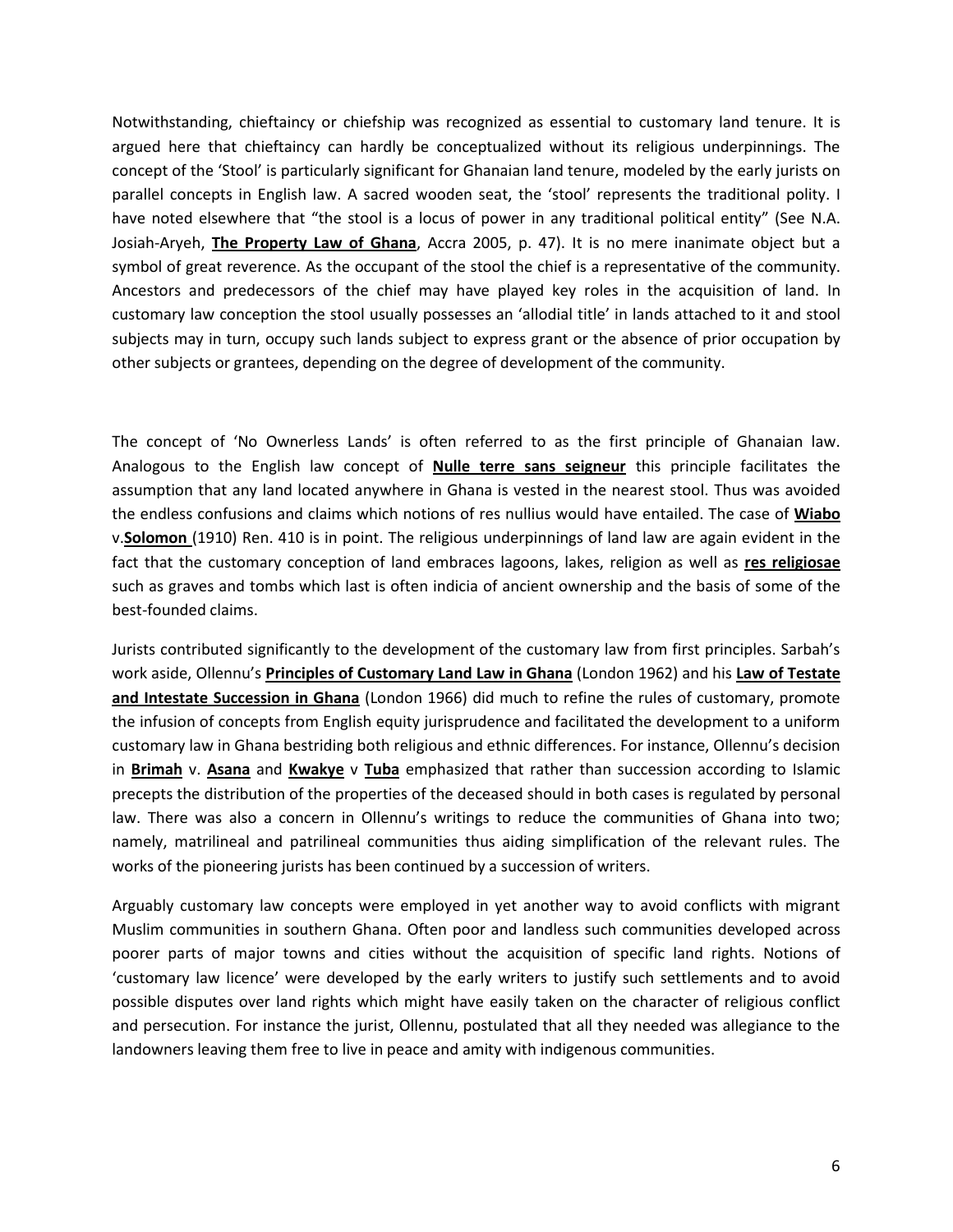Notwithstanding, chieftaincy or chiefship was recognized as essential to customary land tenure. It is argued here that chieftaincy can hardly be conceptualized without its religious underpinnings. The concept of the 'Stool' is particularly significant for Ghanaian land tenure, modeled by the early jurists on parallel concepts in English law. A sacred wooden seat, the 'stool' represents the traditional polity. I have noted elsewhere that "the stool is a locus of power in any traditional political entity" (See N.A. Josiah-Aryeh, **The Property Law of Ghana**, Accra 2005, p. 47). It is no mere inanimate object but a symbol of great reverence. As the occupant of the stool the chief is a representative of the community. Ancestors and predecessors of the chief may have played key roles in the acquisition of land. In customary law conception the stool usually possesses an 'allodial title' in lands attached to it and stool subjects may in turn, occupy such lands subject to express grant or the absence of prior occupation by other subjects or grantees, depending on the degree of development of the community.

The concept of 'No Ownerless Lands' is often referred to as the first principle of Ghanaian law. Analogous to the English law concept of **Nulle terre sans seigneur** this principle facilitates the assumption that any land located anywhere in Ghana is vested in the nearest stool. Thus was avoided the endless confusions and claims which notions of res nullius would have entailed. The case of **Wiabo** v.**Solomon** (1910) Ren. 410 is in point. The religious underpinnings of land law are again evident in the fact that the customary conception of land embraces lagoons, lakes, religion as well as **res religiosae** such as graves and tombs which last is often indicia of ancient ownership and the basis of some of the best-founded claims.

Jurists contributed significantly to the development of the customary law from first principles. Sarbah's work aside, Ollennu's **Principles of Customary Land Law in Ghana** (London 1962) and his **Law of Testate and Intestate Succession in Ghana** (London 1966) did much to refine the rules of customary, promote the infusion of concepts from English equity jurisprudence and facilitated the development to a uniform customary law in Ghana bestriding both religious and ethnic differences. For instance, Ollennu's decision in **Brimah** v. **Asana** and **Kwakye** v **Tuba** emphasized that rather than succession according to Islamic precepts the distribution of the properties of the deceased should in both cases is regulated by personal law. There was also a concern in Ollennu's writings to reduce the communities of Ghana into two; namely, matrilineal and patrilineal communities thus aiding simplification of the relevant rules. The works of the pioneering jurists has been continued by a succession of writers.

Arguably customary law concepts were employed in yet another way to avoid conflicts with migrant Muslim communities in southern Ghana. Often poor and landless such communities developed across poorer parts of major towns and cities without the acquisition of specific land rights. Notions of 'customary law licence' were developed by the early writers to justify such settlements and to avoid possible disputes over land rights which might have easily taken on the character of religious conflict and persecution. For instance the jurist, Ollennu, postulated that all they needed was allegiance to the landowners leaving them free to live in peace and amity with indigenous communities.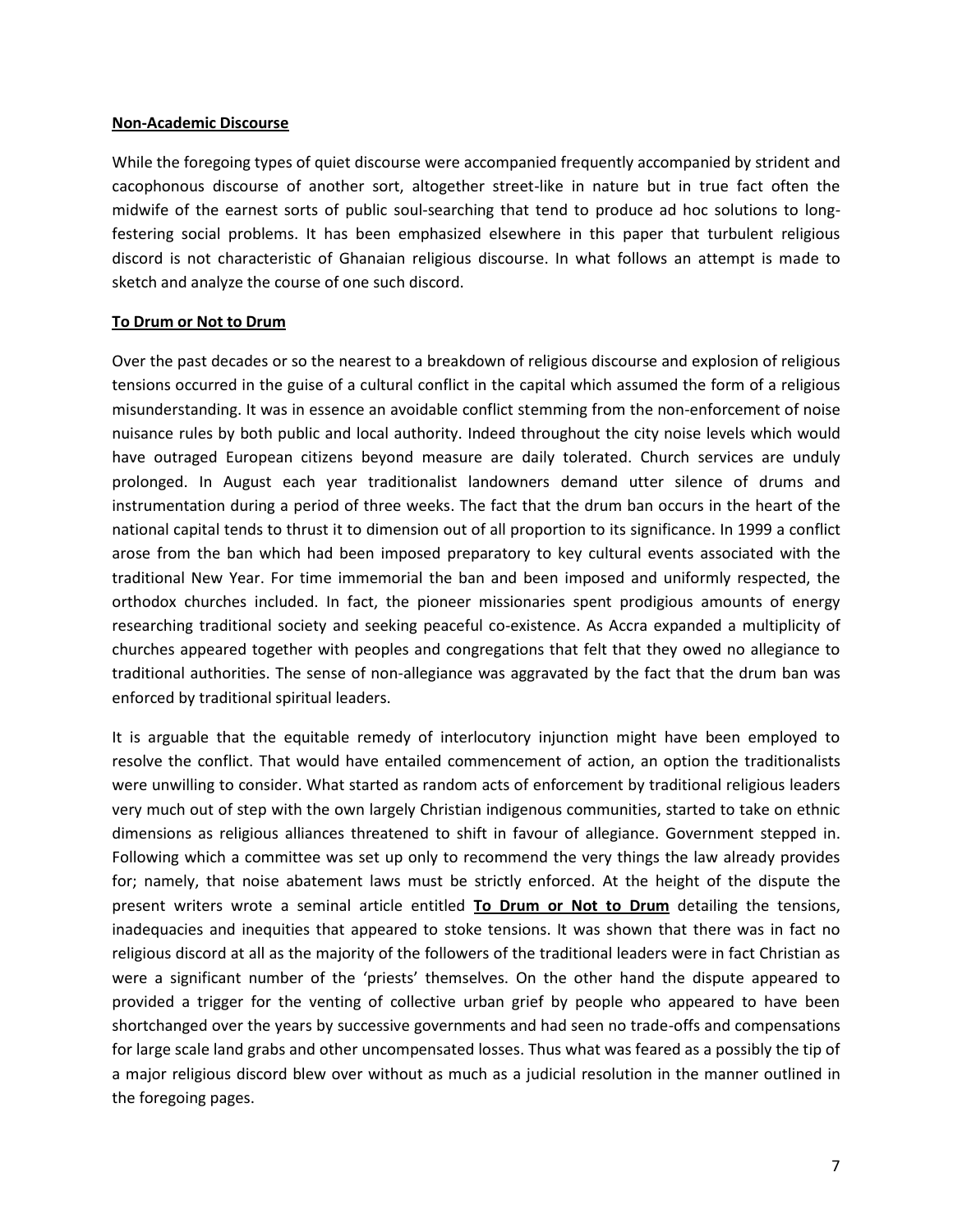#### **Non-Academic Discourse**

While the foregoing types of quiet discourse were accompanied frequently accompanied by strident and cacophonous discourse of another sort, altogether street-like in nature but in true fact often the midwife of the earnest sorts of public soul-searching that tend to produce ad hoc solutions to longfestering social problems. It has been emphasized elsewhere in this paper that turbulent religious discord is not characteristic of Ghanaian religious discourse. In what follows an attempt is made to sketch and analyze the course of one such discord.

### **To Drum or Not to Drum**

Over the past decades or so the nearest to a breakdown of religious discourse and explosion of religious tensions occurred in the guise of a cultural conflict in the capital which assumed the form of a religious misunderstanding. It was in essence an avoidable conflict stemming from the non-enforcement of noise nuisance rules by both public and local authority. Indeed throughout the city noise levels which would have outraged European citizens beyond measure are daily tolerated. Church services are unduly prolonged. In August each year traditionalist landowners demand utter silence of drums and instrumentation during a period of three weeks. The fact that the drum ban occurs in the heart of the national capital tends to thrust it to dimension out of all proportion to its significance. In 1999 a conflict arose from the ban which had been imposed preparatory to key cultural events associated with the traditional New Year. For time immemorial the ban and been imposed and uniformly respected, the orthodox churches included. In fact, the pioneer missionaries spent prodigious amounts of energy researching traditional society and seeking peaceful co-existence. As Accra expanded a multiplicity of churches appeared together with peoples and congregations that felt that they owed no allegiance to traditional authorities. The sense of non-allegiance was aggravated by the fact that the drum ban was enforced by traditional spiritual leaders.

It is arguable that the equitable remedy of interlocutory injunction might have been employed to resolve the conflict. That would have entailed commencement of action, an option the traditionalists were unwilling to consider. What started as random acts of enforcement by traditional religious leaders very much out of step with the own largely Christian indigenous communities, started to take on ethnic dimensions as religious alliances threatened to shift in favour of allegiance. Government stepped in. Following which a committee was set up only to recommend the very things the law already provides for; namely, that noise abatement laws must be strictly enforced. At the height of the dispute the present writers wrote a seminal article entitled **To Drum or Not to Drum** detailing the tensions, inadequacies and inequities that appeared to stoke tensions. It was shown that there was in fact no religious discord at all as the majority of the followers of the traditional leaders were in fact Christian as were a significant number of the 'priests' themselves. On the other hand the dispute appeared to provided a trigger for the venting of collective urban grief by people who appeared to have been shortchanged over the years by successive governments and had seen no trade-offs and compensations for large scale land grabs and other uncompensated losses. Thus what was feared as a possibly the tip of a major religious discord blew over without as much as a judicial resolution in the manner outlined in the foregoing pages.